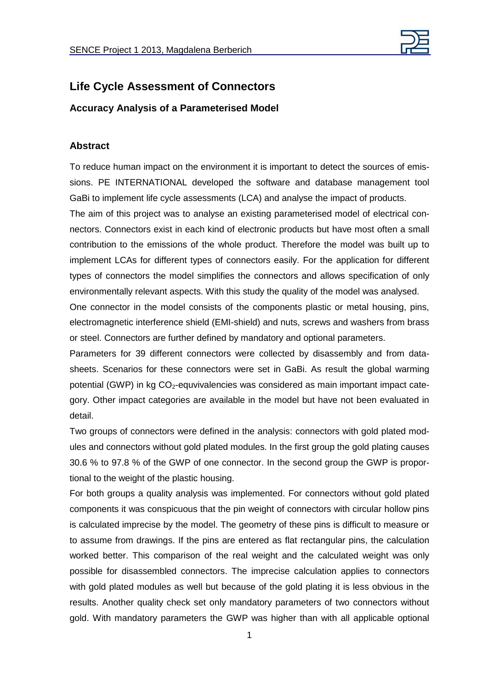

## **Life Cycle Assessment of Connectors**

**Accuracy Analysis of a Parameterised Model** 

## **Abstract**

To reduce human impact on the environment it is important to detect the sources of emissions. PE INTERNATIONAL developed the software and database management tool GaBi to implement life cycle assessments (LCA) and analyse the impact of products.

The aim of this project was to analyse an existing parameterised model of electrical connectors. Connectors exist in each kind of electronic products but have most often a small contribution to the emissions of the whole product. Therefore the model was built up to implement LCAs for different types of connectors easily. For the application for different types of connectors the model simplifies the connectors and allows specification of only environmentally relevant aspects. With this study the quality of the model was analysed.

One connector in the model consists of the components plastic or metal housing, pins, electromagnetic interference shield (EMI-shield) and nuts, screws and washers from brass or steel. Connectors are further defined by mandatory and optional parameters.

Parameters for 39 different connectors were collected by disassembly and from datasheets. Scenarios for these connectors were set in GaBi. As result the global warming potential (GWP) in kg  $CO<sub>2</sub>$ -equvivalencies was considered as main important impact category. Other impact categories are available in the model but have not been evaluated in detail.

Two groups of connectors were defined in the analysis: connectors with gold plated modules and connectors without gold plated modules. In the first group the gold plating causes 30.6 % to 97.8 % of the GWP of one connector. In the second group the GWP is proportional to the weight of the plastic housing.

For both groups a quality analysis was implemented. For connectors without gold plated components it was conspicuous that the pin weight of connectors with circular hollow pins is calculated imprecise by the model. The geometry of these pins is difficult to measure or to assume from drawings. If the pins are entered as flat rectangular pins, the calculation worked better. This comparison of the real weight and the calculated weight was only possible for disassembled connectors. The imprecise calculation applies to connectors with gold plated modules as well but because of the gold plating it is less obvious in the results. Another quality check set only mandatory parameters of two connectors without gold. With mandatory parameters the GWP was higher than with all applicable optional